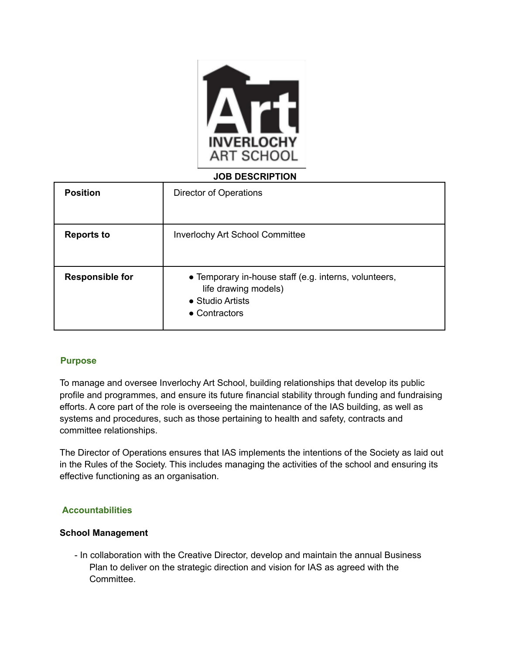

### **JOB DESCRIPTION**

| <b>Position</b>        | Director of Operations                                                                                                     |
|------------------------|----------------------------------------------------------------------------------------------------------------------------|
| <b>Reports to</b>      | <b>Inverlochy Art School Committee</b>                                                                                     |
| <b>Responsible for</b> | • Temporary in-house staff (e.g. interns, volunteers,<br>life drawing models)<br>• Studio Artists<br>$\bullet$ Contractors |

### **Purpose**

To manage and oversee Inverlochy Art School, building relationships that develop its public profile and programmes, and ensure its future financial stability through funding and fundraising efforts. A core part of the role is overseeing the maintenance of the IAS building, as well as systems and procedures, such as those pertaining to health and safety, contracts and committee relationships.

The Director of Operations ensures that IAS implements the intentions of the Society as laid out in the Rules of the Society. This includes managing the activities of the school and ensuring its effective functioning as an organisation.

## **Accountabilities**

### **School Management**

- In collaboration with the Creative Director, develop and maintain the annual Business Plan to deliver on the strategic direction and vision for IAS as agreed with the Committee.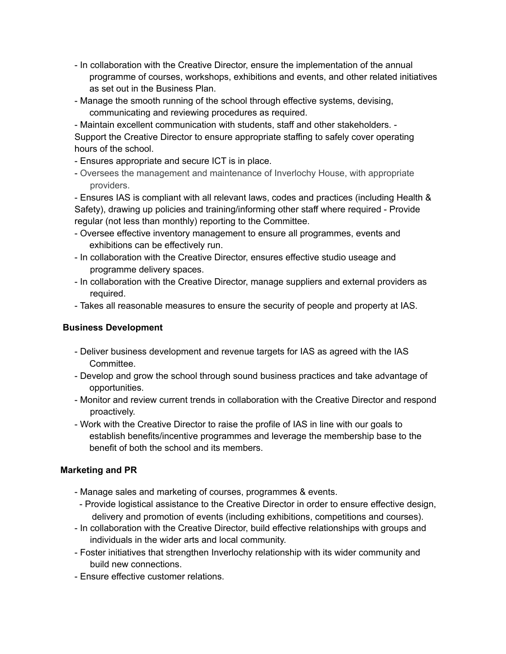- In collaboration with the Creative Director, ensure the implementation of the annual programme of courses, workshops, exhibitions and events, and other related initiatives as set out in the Business Plan.
- Manage the smooth running of the school through effective systems, devising, communicating and reviewing procedures as required.

- Maintain excellent communication with students, staff and other stakeholders. - Support the Creative Director to ensure appropriate staffing to safely cover operating hours of the school.

- Ensures appropriate and secure ICT is in place.
- Oversees the management and maintenance of Inverlochy House, with appropriate providers.

- Ensures IAS is compliant with all relevant laws, codes and practices (including Health & Safety), drawing up policies and training/informing other staff where required - Provide regular (not less than monthly) reporting to the Committee.

- Oversee effective inventory management to ensure all programmes, events and exhibitions can be effectively run.
- In collaboration with the Creative Director, ensures effective studio useage and programme delivery spaces.
- In collaboration with the Creative Director, manage suppliers and external providers as required.
- Takes all reasonable measures to ensure the security of people and property at IAS.

# **Business Development**

- Deliver business development and revenue targets for IAS as agreed with the IAS Committee.
- Develop and grow the school through sound business practices and take advantage of opportunities.
- Monitor and review current trends in collaboration with the Creative Director and respond proactively.
- Work with the Creative Director to raise the profile of IAS in line with our goals to establish benefits/incentive programmes and leverage the membership base to the benefit of both the school and its members.

# **Marketing and PR**

- Manage sales and marketing of courses, programmes & events.
- Provide logistical assistance to the Creative Director in order to ensure effective design, delivery and promotion of events (including exhibitions, competitions and courses).
- In collaboration with the Creative Director, build effective relationships with groups and individuals in the wider arts and local community.
- Foster initiatives that strengthen Inverlochy relationship with its wider community and build new connections.
- Ensure effective customer relations.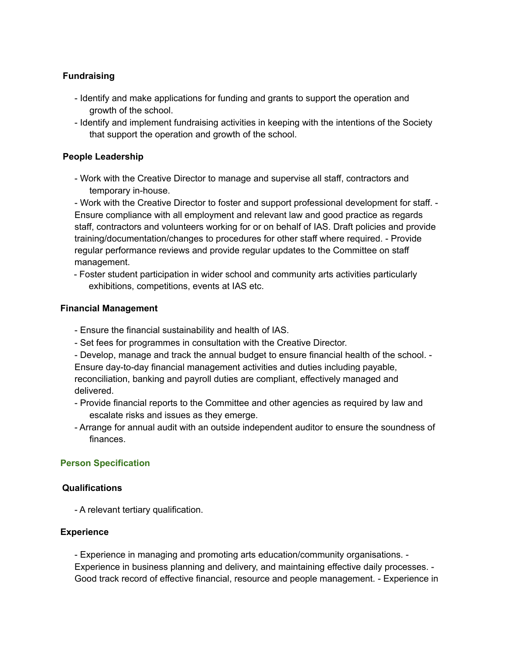# **Fundraising**

- Identify and make applications for funding and grants to support the operation and growth of the school.
- Identify and implement fundraising activities in keeping with the intentions of the Society that support the operation and growth of the school.

### **People Leadership**

- Work with the Creative Director to manage and supervise all staff, contractors and temporary in-house.

- Work with the Creative Director to foster and support professional development for staff. - Ensure compliance with all employment and relevant law and good practice as regards staff, contractors and volunteers working for or on behalf of IAS. Draft policies and provide training/documentation/changes to procedures for other staff where required. - Provide regular performance reviews and provide regular updates to the Committee on staff management.

- Foster student participation in wider school and community arts activities particularly exhibitions, competitions, events at IAS etc.

#### **Financial Management**

- Ensure the financial sustainability and health of IAS.
- Set fees for programmes in consultation with the Creative Director.
- Develop, manage and track the annual budget to ensure financial health of the school. -

Ensure day-to-day financial management activities and duties including payable, reconciliation, banking and payroll duties are compliant, effectively managed and delivered.

- Provide financial reports to the Committee and other agencies as required by law and escalate risks and issues as they emerge.
- Arrange for annual audit with an outside independent auditor to ensure the soundness of finances.

### **Person Specification**

#### **Qualifications**

- A relevant tertiary qualification.

### **Experience**

- Experience in managing and promoting arts education/community organisations. - Experience in business planning and delivery, and maintaining effective daily processes. - Good track record of effective financial, resource and people management. - Experience in